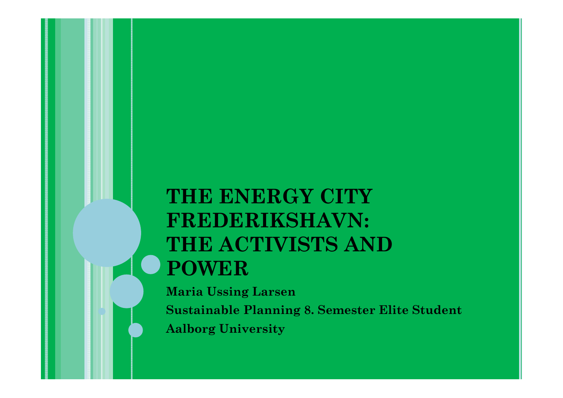# **THE ENERGY CITY FREDERIKSHAVN: THE ACTIVISTS AND POWER**

**Maria Ussing Larsen Sustainable Planning 8. Semester Elite Student Aalborg University**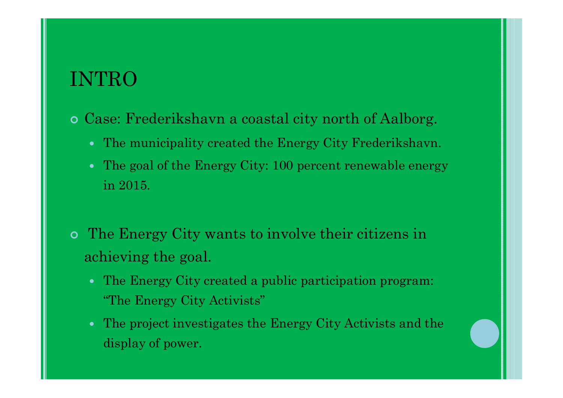### INTRO

- Case: Frederikshavn a coastal city north of Aalborg.
	- The municipality created the Energy City Frederikshavn.
	- The goal of the Energy City: 100 percent renewable energy in 2015.
- The Energy City wants to involve their citizens in achieving the goal.
	- The Energy City created a public participation program: "The Energy City Activists"
	- The project investigates the Energy City Activists and the display of power.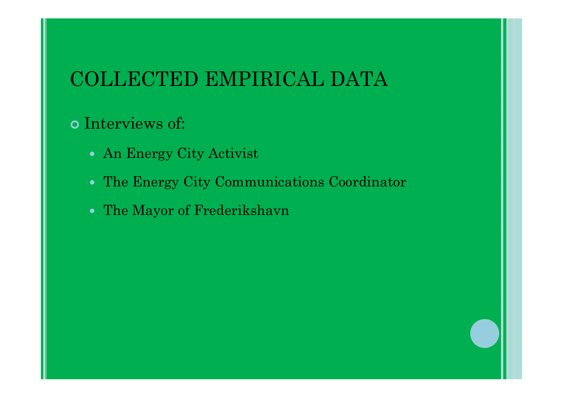### COLLECTED EMPIRICAL DATA

#### Interviews of:

- An Energy City Activist
- The Energy City Communications Coordinator
- The Mayor of Frederikshavn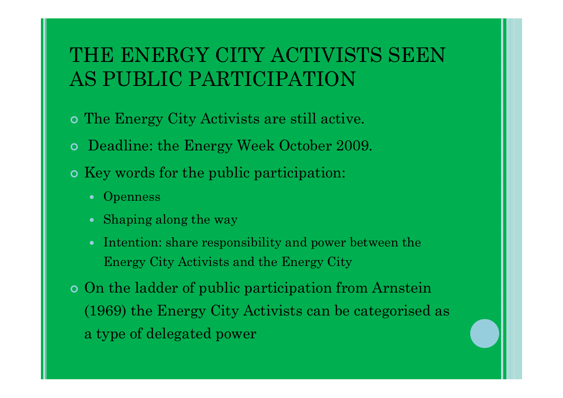## THE ENERGY CITY ACTIVISTS SEEN AS PUBLIC PARTICIPATION

- The Energy City Activists are still active.
- Deadline: the Energy Week October 2009.
- o Key words for the public participation:
	- Openness
	- Shaping along the way
	- Intention: share responsibility and power between the Energy City Activists and the Energy City
- On the ladder of public participation from Arnstein (1969) the Energy City Activists can be categorised as a type of delegated power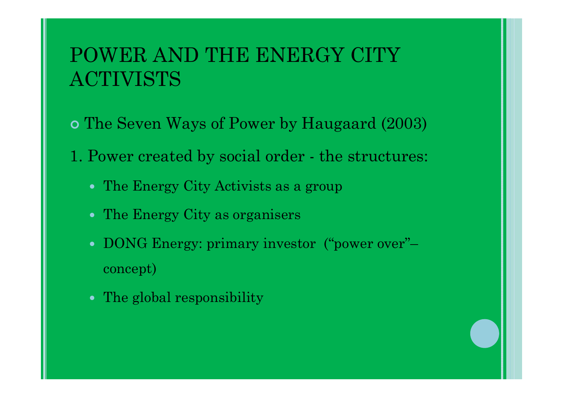## POWER AND THE ENERGY CITY ACTIVISTS

- The Seven Ways of Power by Haugaard (2003)
- 1. Power created by social order the structures:
	- The Energy City Activists as a group
	- The Energy City as organisers
	- DONG Energy: primary investor ("power over"– concept)
	- The global responsibility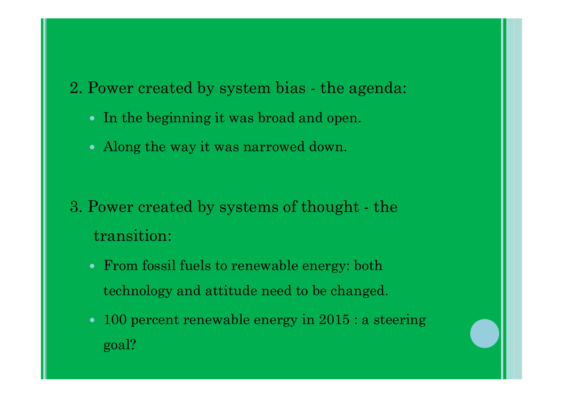2. Power created by system bias - the agenda:

- In the beginning it was broad and open.
- Along the way it was narrowed down.

- 3. Power created by systems of thought the transition:
	- From fossil fuels to renewable energy: both technology and attitude need to be changed.
	- 100 percent renewable energy in 2015 : a steering goal?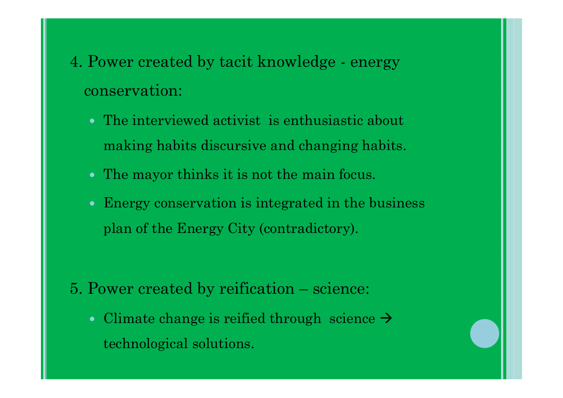- 4. Power created by tacit knowledge energy conservation:
	- The interviewed activist is enthusiastic about making habits discursive and changing habits.
	- The mayor thinks it is not the main focus.
	- Energy conservation is integrated in the business plan of the Energy City (contradictory).

- 5. Power created by reification science:
	- Climate change is reified through science  $\rightarrow$ technological solutions.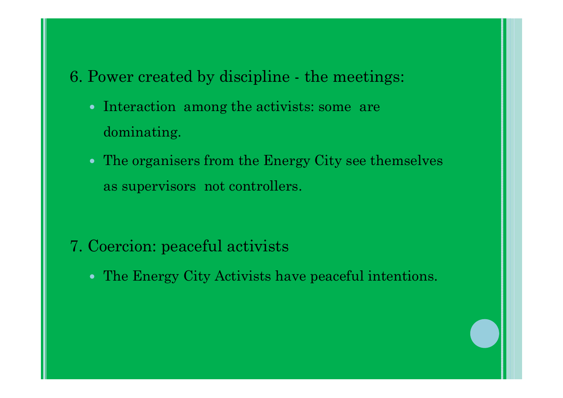- 6. Power created by discipline the meetings:
	- Interaction among the activists: some are dominating.
	- The organisers from the Energy City see themselves as supervisors not controllers.

- 7. Coercion: peaceful activists
	- The Energy City Activists have peaceful intentions.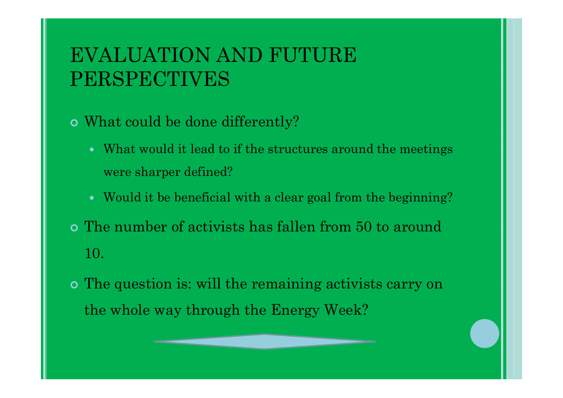## EVALUATION AND FUTURE PERSPECTIVES

- What could be done differently?
	- What would it lead to if the structures around the meetings were sharper defined?
	- Would it be beneficial with a clear goal from the beginning?
- The number of activists has fallen from 50 to around 10.
- The question is: will the remaining activists carry on the whole way through the Energy Week?